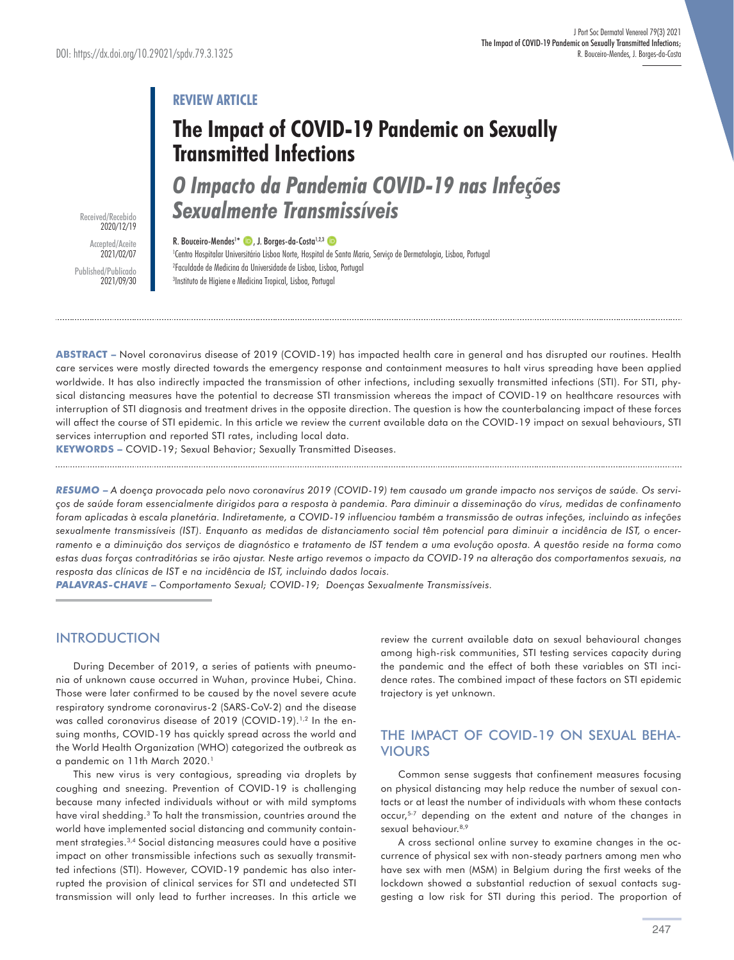# **REVIEW ARTICLE**

# **The Impact of COVID-19 Pandemic on Sexually Transmitted Infections**

*O Impacto da Pandemia COVID-19 nas Infeções Sexualmente Transmissíveis* 

2020/12/19 Accepted/Aceite 2021/02/07 Published/Publicado 2021/09/30

Received/Recebido

R. Bouceiro-Mendes<sup>1\*</sup> (D), J. Borges-da-Costa<sup>1,2,3</sup> Centro Hospitalar Universitário Lisboa Norte, Hospital de Santa Maria, Serviço de Dermatologia, Lisboa, Portugal Faculdade de Medicina da Universidade de Lisboa, Lisboa, Portugal Instituto de Higiene e Medicina Tropical, Lisboa, Portugal

**ABSTRACT –** Novel coronavirus disease of 2019 (COVID-19) has impacted health care in general and has disrupted our routines. Health care services were mostly directed towards the emergency response and containment measures to halt virus spreading have been applied worldwide. It has also indirectly impacted the transmission of other infections, including sexually transmitted infections (STI). For STI, physical distancing measures have the potential to decrease STI transmission whereas the impact of COVID-19 on healthcare resources with interruption of STI diagnosis and treatment drives in the opposite direction. The question is how the counterbalancing impact of these forces will affect the course of STI epidemic. In this article we review the current available data on the COVID-19 impact on sexual behaviours, STI services interruption and reported STI rates, including local data.

**KEYWORDS –** COVID-19; Sexual Behavior; Sexually Transmitted Diseases.

*RESUMO* **–** *A doença provocada pelo novo coronavírus 2019 (COVID-19) tem causado um grande impacto nos serviços de saúde. Os serviços de saúde foram essencialmente dirigidos para a resposta à pandemia. Para diminuir a disseminação do vírus, medidas de confinamento foram aplicadas à escala planetária. Indiretamente, a COVID-19 influenciou também a transmissão de outras infeções, incluindo as infeções sexualmente transmissíveis (IST). Enquanto as medidas de distanciamento social têm potencial para diminuir a incidência de IST, o encerramento e a diminuição dos serviços de diagnóstico e tratamento de IST tendem a uma evolução oposta. A questão reside na forma como estas duas forças contraditórias se irão ajustar. Neste artigo revemos o impacto da COVID-19 na alteração dos comportamentos sexuais, na resposta das clínicas de IST e na incidência de IST, incluindo dados locais.* 

*PALAVRAS-CHAVE* **–** *Comportamento Sexual; COVID-19; Doenças Sexualmente Transmissíveis.*

### INTRODUCTION

During December of 2019, a series of patients with pneumonia of unknown cause occurred in Wuhan, province Hubei, China. Those were later confirmed to be caused by the novel severe acute respiratory syndrome coronavirus-2 (SARS-CoV-2) and the disease was called coronavirus disease of 2019 (COVID-19).<sup>1,2</sup> In the ensuing months, COVID-19 has quickly spread across the world and the World Health Organization (WHO) categorized the outbreak as a pandemic on 11th March 2020.<sup>1</sup>

This new virus is very contagious, spreading via droplets by coughing and sneezing. Prevention of COVID-19 is challenging because many infected individuals without or with mild symptoms have viral shedding.3 To halt the transmission, countries around the world have implemented social distancing and community containment strategies.3,4 Social distancing measures could have a positive impact on other transmissible infections such as sexually transmitted infections (STI). However, COVID-19 pandemic has also interrupted the provision of clinical services for STI and undetected STI transmission will only lead to further increases. In this article we

review the current available data on sexual behavioural changes among high-risk communities, STI testing services capacity during the pandemic and the effect of both these variables on STI incidence rates. The combined impact of these factors on STI epidemic trajectory is yet unknown.

## THE IMPACT OF COVID-19 ON SEXUAL BEHA-**VIOURS**

Common sense suggests that confinement measures focusing on physical distancing may help reduce the number of sexual contacts or at least the number of individuals with whom these contacts occur,<sup>5-7</sup> depending on the extent and nature of the changes in sexual behaviour.<sup>8,9</sup>

A cross sectional online survey to examine changes in the occurrence of physical sex with non-steady partners among men who have sex with men (MSM) in Belgium during the first weeks of the lockdown showed a substantial reduction of sexual contacts suggesting a low risk for STI during this period. The proportion of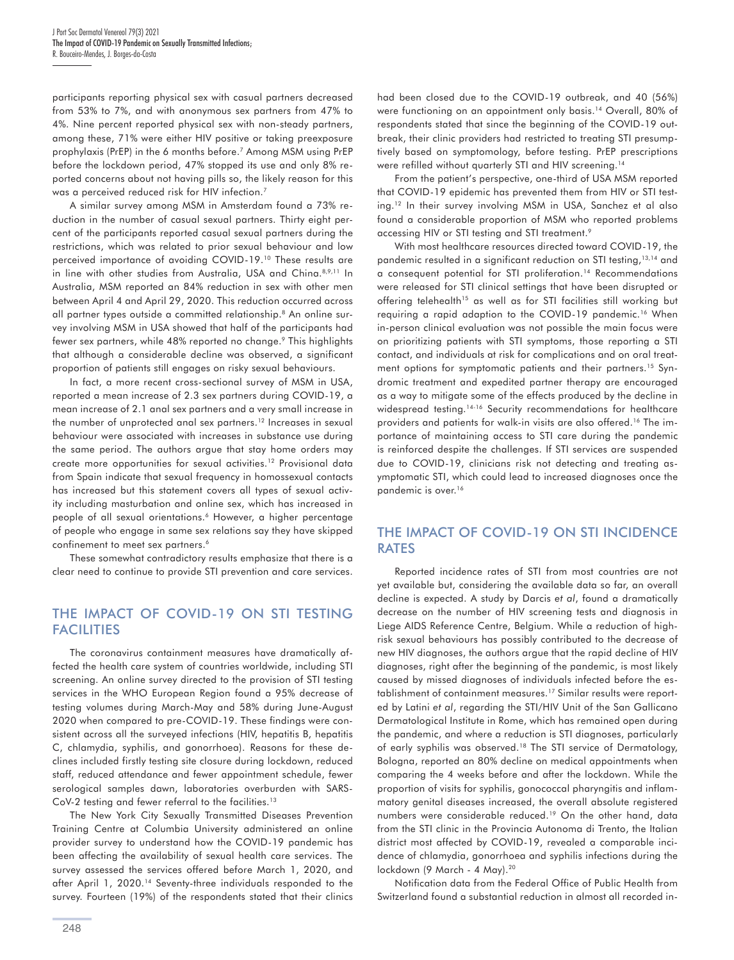participants reporting physical sex with casual partners decreased from 53% to 7%, and with anonymous sex partners from 47% to 4%. Nine percent reported physical sex with non-steady partners, among these, 71% were either HIV positive or taking preexposure prophylaxis (PrEP) in the 6 months before.<sup>7</sup> Among MSM using PrEP before the lockdown period, 47% stopped its use and only 8% reported concerns about not having pills so, the likely reason for this was a perceived reduced risk for HIV infection.<sup>7</sup>

A similar survey among MSM in Amsterdam found a 73% reduction in the number of casual sexual partners. Thirty eight percent of the participants reported casual sexual partners during the restrictions, which was related to prior sexual behaviour and low perceived importance of avoiding COVID-19.10 These results are in line with other studies from Australia, USA and China. 8,9,11 In Australia, MSM reported an 84% reduction in sex with other men between April 4 and April 29, 2020. This reduction occurred across all partner types outside a committed relationship.<sup>8</sup> An online survey involving MSM in USA showed that half of the participants had fewer sex partners, while 48% reported no change.<sup>9</sup> This highlights that although a considerable decline was observed, a significant proportion of patients still engages on risky sexual behaviours.

In fact, a more recent cross-sectional survey of MSM in USA, reported a mean increase of 2.3 sex partners during COVID-19, a mean increase of 2.1 anal sex partners and a very small increase in the number of unprotected anal sex partners.12 Increases in sexual behaviour were associated with increases in substance use during the same period. The authors argue that stay home orders may create more opportunities for sexual activities.12 Provisional data from Spain indicate that sexual frequency in homossexual contacts has increased but this statement covers all types of sexual activity including masturbation and online sex, which has increased in people of all sexual orientations.6 However, a higher percentage of people who engage in same sex relations say they have skipped confinement to meet sex partners.<sup>6</sup>

These somewhat contradictory results emphasize that there is a clear need to continue to provide STI prevention and care services.

#### THE IMPACT OF COVID-19 ON STI TESTING **FACILITIES**

The coronavirus containment measures have dramatically affected the health care system of countries worldwide, including STI screening. An online survey directed to the provision of STI testing services in the WHO European Region found a 95% decrease of testing volumes during March-May and 58% during June-August 2020 when compared to pre-COVID-19. These findings were consistent across all the surveyed infections (HIV, hepatitis B, hepatitis C, chlamydia, syphilis, and gonorrhoea). Reasons for these declines included firstly testing site closure during lockdown, reduced staff, reduced attendance and fewer appointment schedule, fewer serological samples dawn, laboratories overburden with SARS-CoV-2 testing and fewer referral to the facilities.13

The New York City Sexually Transmitted Diseases Prevention Training Centre at Columbia University administered an online provider survey to understand how the COVID-19 pandemic has been affecting the availability of sexual health care services. The survey assessed the services offered before March 1, 2020, and after April 1, 2020.14 Seventy-three individuals responded to the survey. Fourteen (19%) of the respondents stated that their clinics had been closed due to the COVID-19 outbreak, and 40 (56%) were functioning on an appointment only basis.14 Overall, 80% of respondents stated that since the beginning of the COVID-19 outbreak, their clinic providers had restricted to treating STI presumptively based on symptomology, before testing. PrEP prescriptions were refilled without quarterly STI and HIV screening.<sup>14</sup>

From the patient's perspective, one-third of USA MSM reported that COVID-19 epidemic has prevented them from HIV or STI testing.12 In their survey involving MSM in USA, Sanchez et al also found a considerable proportion of MSM who reported problems accessing HIV or STI testing and STI treatment.9

With most healthcare resources directed toward COVID-19, the pandemic resulted in a significant reduction on STI testing,13,14 and a consequent potential for STI proliferation.14 Recommendations were released for STI clinical settings that have been disrupted or offering telehealth<sup>15</sup> as well as for STI facilities still working but requiring a rapid adaption to the COVID-19 pandemic.16 When in-person clinical evaluation was not possible the main focus were on prioritizing patients with STI symptoms, those reporting a STI contact, and individuals at risk for complications and on oral treatment options for symptomatic patients and their partners.<sup>15</sup> Syndromic treatment and expedited partner therapy are encouraged as a way to mitigate some of the effects produced by the decline in widespread testing.14-16 Security recommendations for healthcare providers and patients for walk-in visits are also offered.<sup>16</sup> The importance of maintaining access to STI care during the pandemic is reinforced despite the challenges. If STI services are suspended due to COVID-19, clinicians risk not detecting and treating asymptomatic STI, which could lead to increased diagnoses once the pandemic is over.<sup>16</sup>

### THE IMPACT OF COVID-19 ON STI INCIDENCE RATES

Reported incidence rates of STI from most countries are not yet available but, considering the available data so far, an overall decline is expected. A study by Darcis *et al*, found a dramatically decrease on the number of HIV screening tests and diagnosis in Liege AIDS Reference Centre, Belgium. While a reduction of highrisk sexual behaviours has possibly contributed to the decrease of new HIV diagnoses, the authors argue that the rapid decline of HIV diagnoses, right after the beginning of the pandemic, is most likely caused by missed diagnoses of individuals infected before the establishment of containment measures.17 Similar results were reported by Latini *et al*, regarding the STI/HIV Unit of the San Gallicano Dermatological Institute in Rome, which has remained open during the pandemic, and where a reduction is STI diagnoses, particularly of early syphilis was observed.18 The STI service of Dermatology, Bologna, reported an 80% decline on medical appointments when comparing the 4 weeks before and after the lockdown. While the proportion of visits for syphilis, gonococcal pharyngitis and inflammatory genital diseases increased, the overall absolute registered numbers were considerable reduced.<sup>19</sup> On the other hand, data from the STI clinic in the Provincia Autonoma di Trento, the Italian district most affected by COVID-19, revealed a comparable incidence of chlamydia, gonorrhoea and syphilis infections during the lockdown (9 March - 4 May).<sup>20</sup>

Notification data from the Federal Office of Public Health from Switzerland found a substantial reduction in almost all recorded in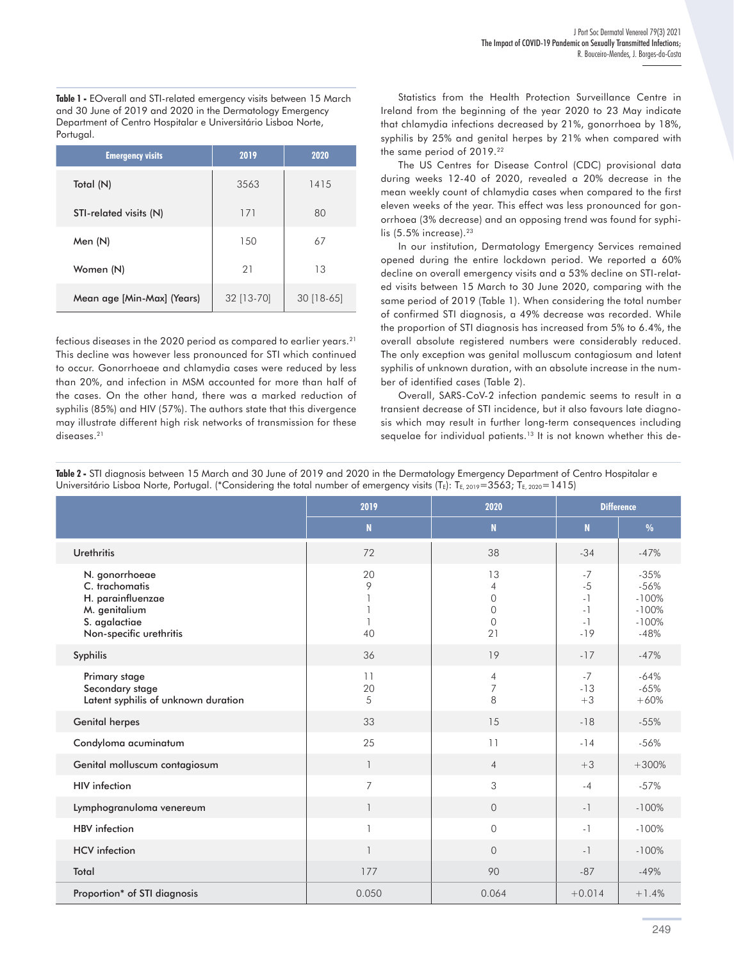**Table 1 -** EOverall and STI-related emergency visits between 15 March and 30 June of 2019 and 2020 in the Dermatology Emergency Department of Centro Hospitalar e Universitário Lisboa Norte, Portugal.

| <b>Emergency visits</b>    | 2019       | 2020         |
|----------------------------|------------|--------------|
| Total (N)                  | 3563       | 1415         |
| STI-related visits (N)     | 171        | 80           |
| Men (N)                    | 150        | 67           |
| Women (N)                  | 21         | 13           |
| Mean age [Min-Max] (Years) | 32 [13-70] | $30$ [18-65] |

fectious diseases in the 2020 period as compared to earlier years.<sup>21</sup> This decline was however less pronounced for STI which continued to occur. Gonorrhoeae and chlamydia cases were reduced by less than 20%, and infection in MSM accounted for more than half of the cases. On the other hand, there was a marked reduction of syphilis (85%) and HIV (57%). The authors state that this divergence may illustrate different high risk networks of transmission for these diseases.<sup>21</sup>

Statistics from the Health Protection Surveillance Centre in Ireland from the beginning of the year 2020 to 23 May indicate that chlamydia infections decreased by 21%, gonorrhoea by 18%, syphilis by 25% and genital herpes by 21% when compared with the same period of 2019.<sup>22</sup>

The US Centres for Disease Control (CDC) provisional data during weeks 12-40 of 2020, revealed a 20% decrease in the mean weekly count of chlamydia cases when compared to the first eleven weeks of the year. This effect was less pronounced for gonorrhoea (3% decrease) and an opposing trend was found for syphilis  $(5.5\%$  increase).<sup>23</sup>

In our institution, Dermatology Emergency Services remained opened during the entire lockdown period. We reported a 60% decline on overall emergency visits and a 53% decline on STI-related visits between 15 March to 30 June 2020, comparing with the same period of 2019 (Table 1). When considering the total number of confirmed STI diagnosis, a 49% decrease was recorded. While the proportion of STI diagnosis has increased from 5% to 6.4%, the overall absolute registered numbers were considerably reduced. The only exception was genital molluscum contagiosum and latent syphilis of unknown duration, with an absolute increase in the number of identified cases (Table 2).

Overall, SARS-CoV-2 infection pandemic seems to result in a transient decrease of STI incidence, but it also favours late diagnosis which may result in further long-term consequences including sequelae for individual patients.<sup>13</sup> It is not known whether this de-

**Table 2 -** STI diagnosis between 15 March and 30 June of 2019 and 2020 in the Dermatology Emergency Department of Centro Hospitalar e Universitário Lisboa Norte, Portugal. (\*Considering the total number of emergency visits (T<sub>E</sub>): T<sub>E, 2019</sub>=3563; T<sub>E, 2020</sub>=1415)

|                                                                                                                    | 2019           | 2020                                                        | <b>Difference</b>                             |                                                             |
|--------------------------------------------------------------------------------------------------------------------|----------------|-------------------------------------------------------------|-----------------------------------------------|-------------------------------------------------------------|
|                                                                                                                    | $\mathsf{N}$   | $\mathbf N$                                                 | N                                             | $\frac{9}{6}$                                               |
| <b>Urethritis</b>                                                                                                  | 72             | 38                                                          | $-34$                                         | $-47%$                                                      |
| N. gonorrhoeae<br>C. trachomatis<br>H. parainfluenzae<br>M. genitalium<br>S. agalactiae<br>Non-specific urethritis | 20<br>9<br>40  | 13<br>$\overline{4}$<br>$\circ$<br>$\circ$<br>$\circ$<br>21 | $-7$<br>$-5$<br>$-1$<br>$-1$<br>$-1$<br>$-19$ | $-35%$<br>$-56%$<br>$-100%$<br>$-100%$<br>$-100%$<br>$-48%$ |
| Syphilis                                                                                                           | 36             | 19                                                          | $-17$                                         | $-47%$                                                      |
| Primary stage<br>Secondary stage<br>Latent syphilis of unknown duration                                            | 11<br>20<br>5  | $\overline{4}$<br>$\overline{7}$<br>8                       | $-7$<br>$-13$<br>$+3$                         | $-64%$<br>$-65%$<br>$+60%$                                  |
| <b>Genital herpes</b>                                                                                              | 33             | 15                                                          | $-18$                                         | $-55%$                                                      |
| Condyloma acuminatum                                                                                               | 25             | 11                                                          | $-14$                                         | $-56%$                                                      |
| Genital molluscum contagiosum                                                                                      | $\mathbb{I}$   | $\overline{4}$                                              | $+3$                                          | $+300%$                                                     |
| <b>HIV</b> infection                                                                                               | $\overline{7}$ | 3                                                           | $-4$                                          | $-57%$                                                      |
| Lymphogranuloma venereum                                                                                           | $\overline{1}$ | $\circ$                                                     | $-1$                                          | $-100%$                                                     |
| <b>HBV</b> infection                                                                                               | $\overline{1}$ | $\mathbf 0$                                                 | $-1$                                          | $-100%$                                                     |
| <b>HCV</b> infection                                                                                               | $\overline{1}$ | $\overline{0}$                                              | $-1$                                          | $-100%$                                                     |
| Total                                                                                                              | 177            | 90                                                          | $-87$                                         | $-49%$                                                      |
| Proportion* of STI diagnosis                                                                                       | 0.050          | 0.064                                                       | $+0.014$                                      | $+1.4%$                                                     |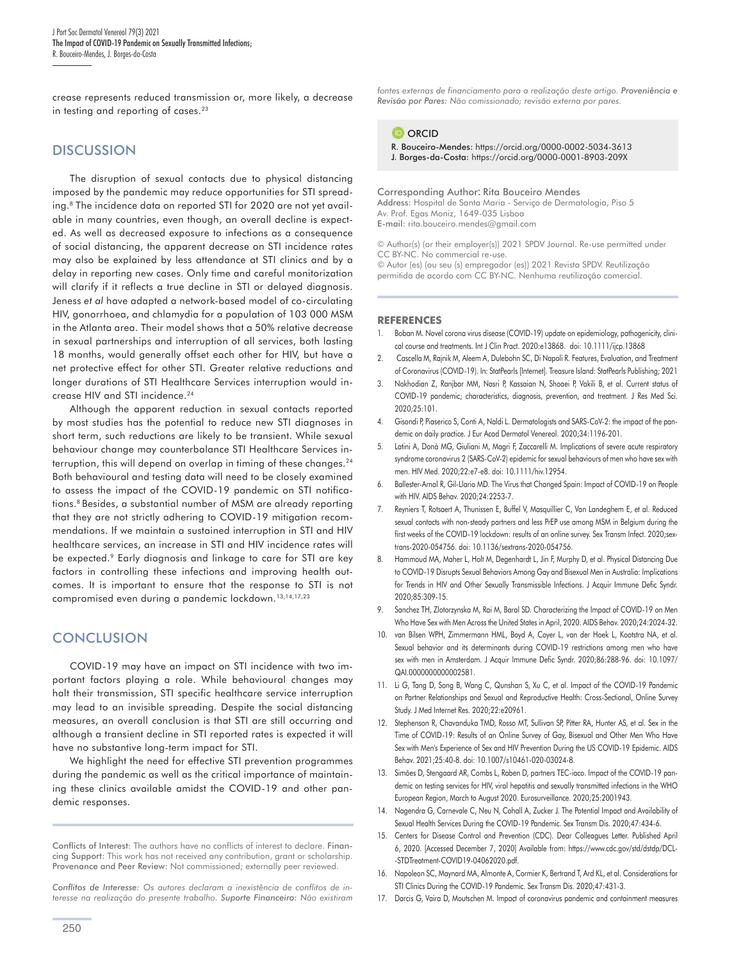crease represents reduced transmission or, more likely, a decrease in testing and reporting of cases.<sup>23</sup>

#### **DISCUSSION**

The disruption of sexual contacts due to physical distancing imposed by the pandemic may reduce opportunities for STI spreading.<sup>8</sup> The incidence data on reported STI for 2020 are not yet available in many countries, even though, an overall decline is expected. As well as decreased exposure to infections as a consequence of social distancing, the apparent decrease on STI incidence rates may also be explained by less attendance at STI clinics and by a delay in reporting new cases. Only time and careful monitorization will clarify if it reflects a true decline in STI or delayed diagnosis. Jeness *et al* have adapted a network-based model of co-circulating HIV, gonorrhoea, and chlamydia for a population of 103 000 MSM in the Atlanta area. Their model shows that a 50% relative decrease in sexual partnerships and interruption of all services, both lasting 18 months, would generally offset each other for HIV, but have a net protective effect for other STI. Greater relative reductions and longer durations of STI Healthcare Services interruption would increase HIV and STI incidence.<sup>24</sup>

Although the apparent reduction in sexual contacts reported by most studies has the potential to reduce new STI diagnoses in short term, such reductions are likely to be transient. While sexual behaviour change may counterbalance STI Healthcare Services interruption, this will depend on overlap in timing of these changes.<sup>24</sup> Both behavioural and testing data will need to be closely examined to assess the impact of the COVID-19 pandemic on STI notifications.8 Besides, a substantial number of MSM are already reporting that they are not strictly adhering to COVID-19 mitigation recommendations. If we maintain a sustained interruption in STI and HIV healthcare services, an increase in STI and HIV incidence rates will be expected.<sup>9</sup> Early diagnosis and linkage to care for STI are key factors in controlling these infections and improving health outcomes. It is important to ensure that the response to STI is not compromised even during a pandemic lockdown.13,14,17,23

#### **CONCLUSION**

COVID-19 may have an impact on STI incidence with two important factors playing a role. While behavioural changes may halt their transmission, STI specific healthcare service interruption may lead to an invisible spreading. Despite the social distancing measures, an overall conclusion is that STI are still occurring and although a transient decline in STI reported rates is expected it will have no substantive long-term impact for STI.

We highlight the need for effective STI prevention programmes during the pandemic as well as the critical importance of maintaining these clinics available amidst the COVID-19 and other pandemic responses.

*Conflitos de Interesse: Os autores declaram a inexistência de conflitos de interesse na realização do presente trabalho. Suporte Financeiro: Não existiram*  *fontes externas de financiamento para a realização deste artigo. Proveniência e Revisão por Pares: Não comissionado; revisão externa por pares.*



R. Bouceiro-Mendes: https://orcid.org/0000-0002-5034-3613 J. Borges-da-Costa: https://orcid.org/0000-0001-8903-209X

Corresponding Author**:** Rita Bouceiro Mendes Address: Hospital de Santa Maria - Serviço de Dermatologia, Piso 5 Av. Prof. Egas Moniz, 1649-035 Lisboa E-mail: rita.bouceiro.mendes@gmail.com

© Author(s) (or their employer(s)) 2021 SPDV Journal. Re-use permitted under CC BY-NC. No commercial re-use. © Autor (es) (ou seu (s) empregador (es)) 2021 Revista SPDV. Reutilização permitida de acordo com CC BY-NC. Nenhuma reutilização comercial.

#### **REFERENCES**

- 1. Boban M. Novel corona virus disease (COVID-19) update on epidemiology, pathogenicity, clinical course and treatments. Int J Clin Pract. 2020:e13868. doi: 10.1111/ijcp.13868
- 2. Cascella M, Rajnik M, Aleem A, Dulebohn SC, Di Napoli R. Features, Evaluation, and Treatment of Coronavirus (COVID-19). In: StatPearls [Internet]. Treasure Island: StatPearls Publishing; 2021
- 3. Nokhodian Z, Ranjbar MM, Nasri P, Kassaian N, Shoaei P, Vakili B, et al. Current status of COVID-19 pandemic; characteristics, diagnosis, prevention, and treatment. J Res Med Sci. 2020;25:101.
- 4. Gisondi P, Piaserico S, Conti A, Naldi L. Dermatologists and SARS-CoV-2: the impact of the pandemic on daily practice. J Eur Acad Dermatol Venereol. 2020;34:1196-201.
- 5. Latini A, Donà MG, Giuliani M, Magri F, Zaccarelli M. Implications of severe acute respiratory syndrome coronavirus 2 (SARS-CoV-2) epidemic for sexual behaviours of men who have sex with men. HIV Med. 2020;22:e7-e8. doi: 10.1111/hiv.12954.
- 6. Ballester-Arnal R, Gil-Llario MD. The Virus that Changed Spain: Impact of COVID-19 on People with HIV. AIDS Behav. 2020;24:2253-7.
- 7. Reyniers T, Rotsaert A, Thunissen E, Buffel V, Masquillier C, Van Landeghem E, et al. Reduced sexual contacts with non-steady partners and less PrEP use among MSM in Belgium during the first weeks of the COVID-19 lockdown: results of an online survey. Sex Transm Infect. 2020;sextrans-2020-054756. doi: 10.1136/sextrans-2020-054756.
- 8. Hammoud MA, Maher L, Holt M, Degenhardt L, Jin F, Murphy D, et al. Physical Distancing Due to COVID-19 Disrupts Sexual Behaviors Among Gay and Bisexual Men in Australia: Implications for Trends in HIV and Other Sexually Transmissible Infections. J Acquir Immune Defic Syndr. 2020;85:309-15.
- 9. Sanchez TH, Zlotorzynska M, Rai M, Baral SD. Characterizing the Impact of COVID-19 on Men Who Have Sex with Men Across the United States in April, 2020. AIDS Behav. 2020;24:2024-32.
- 10. van Bilsen WPH, Zimmermann HML, Boyd A, Coyer L, van der Hoek L, Kootstra NA, et al. Sexual behavior and its determinants during COVID-19 restrictions among men who have sex with men in Amsterdam. J Acquir Immune Defic Syndr. 2020;86:288-96. doi: 10.1097/ QAI.0000000000002581.
- 11. Li G, Tang D, Song B, Wang C, Qunshan S, Xu C, et al. Impact of the COVID-19 Pandemic on Partner Relationships and Sexual and Reproductive Health: Cross-Sectional, Online Survey Study. J Med Internet Res. 2020;22:e20961.
- 12. Stephenson R, Chavanduka TMD, Rosso MT, Sullivan SP, Pitter RA, Hunter AS, et al. Sex in the Time of COVID-19: Results of an Online Survey of Gay, Bisexual and Other Men Who Have Sex with Men's Experience of Sex and HIV Prevention During the US COVID-19 Epidemic. AIDS Behav. 2021;25:40-8. doi: 10.1007/s10461-020-03024-8.
- 13. Simões D, Stengaard AR, Combs L, Raben D, partners TEC-iaco. Impact of the COVID-19 pandemic on testing services for HIV, viral hepatitis and sexually transmitted infections in the WHO European Region, March to August 2020. Eurosurveillance. 2020;25:2001943.
- 14. Nagendra G, Carnevale C, Neu N, Cohall A, Zucker J. The Potential Impact and Availability of Sexual Health Services During the COVID-19 Pandemic. Sex Transm Dis. 2020;47:434-6.
- 15. Centers for Disease Control and Prevention (CDC). Dear Colleagues Letter. Published April 6, 2020. [Accessed December 7, 2020] Available from: https://www.cdc.gov/std/dstdp/DCL- -STDTreatment-COVID19-04062020.pdf.
- 16. Napoleon SC, Maynard MA, Almonte A, Cormier K, Bertrand T, Ard KL, et al. Considerations for STI Clinics During the COVID-19 Pandemic. Sex Transm Dis. 2020;47:431-3.
- 17. Darcis G, Vaira D, Moutschen M. Impact of coronavirus pandemic and containment measures

Conflicts of Interest: The authors have no conflicts of interest to declare. Financing Support: This work has not received any contribution, grant or scholarship. Provenance and Peer Review: Not commissioned; externally peer reviewed.